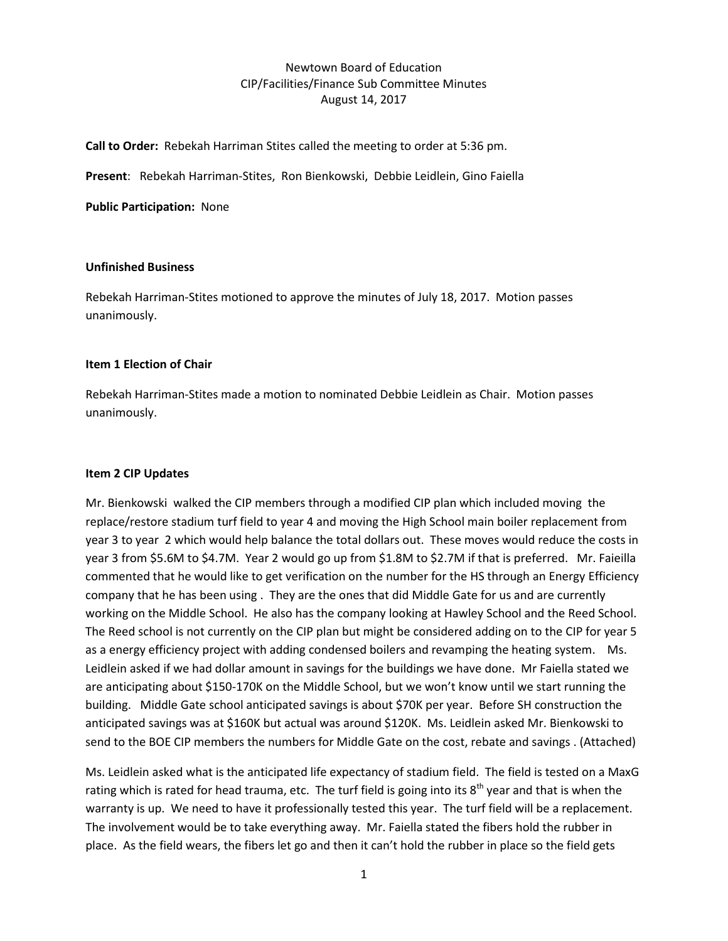## Newtown Board of Education CIP/Facilities/Finance Sub Committee Minutes August 14, 2017

**Call to Order:** Rebekah Harriman Stites called the meeting to order at 5:36 pm.

**Present**: Rebekah Harriman-Stites, Ron Bienkowski, Debbie Leidlein, Gino Faiella

**Public Participation:** None

#### **Unfinished Business**

Rebekah Harriman-Stites motioned to approve the minutes of July 18, 2017. Motion passes unanimously.

#### **Item 1 Election of Chair**

Rebekah Harriman-Stites made a motion to nominated Debbie Leidlein as Chair. Motion passes unanimously.

### **Item 2 CIP Updates**

Mr. Bienkowski walked the CIP members through a modified CIP plan which included moving the replace/restore stadium turf field to year 4 and moving the High School main boiler replacement from year 3 to year 2 which would help balance the total dollars out. These moves would reduce the costs in year 3 from \$5.6M to \$4.7M. Year 2 would go up from \$1.8M to \$2.7M if that is preferred. Mr. Faieilla commented that he would like to get verification on the number for the HS through an Energy Efficiency company that he has been using . They are the ones that did Middle Gate for us and are currently working on the Middle School. He also has the company looking at Hawley School and the Reed School. The Reed school is not currently on the CIP plan but might be considered adding on to the CIP for year 5 as a energy efficiency project with adding condensed boilers and revamping the heating system. Ms. Leidlein asked if we had dollar amount in savings for the buildings we have done. Mr Faiella stated we are anticipating about \$150-170K on the Middle School, but we won't know until we start running the building. Middle Gate school anticipated savings is about \$70K per year. Before SH construction the anticipated savings was at \$160K but actual was around \$120K. Ms. Leidlein asked Mr. Bienkowski to send to the BOE CIP members the numbers for Middle Gate on the cost, rebate and savings . (Attached)

Ms. Leidlein asked what is the anticipated life expectancy of stadium field. The field is tested on a MaxG rating which is rated for head trauma, etc. The turf field is going into its  $8<sup>th</sup>$  year and that is when the warranty is up. We need to have it professionally tested this year. The turf field will be a replacement. The involvement would be to take everything away. Mr. Faiella stated the fibers hold the rubber in place. As the field wears, the fibers let go and then it can't hold the rubber in place so the field gets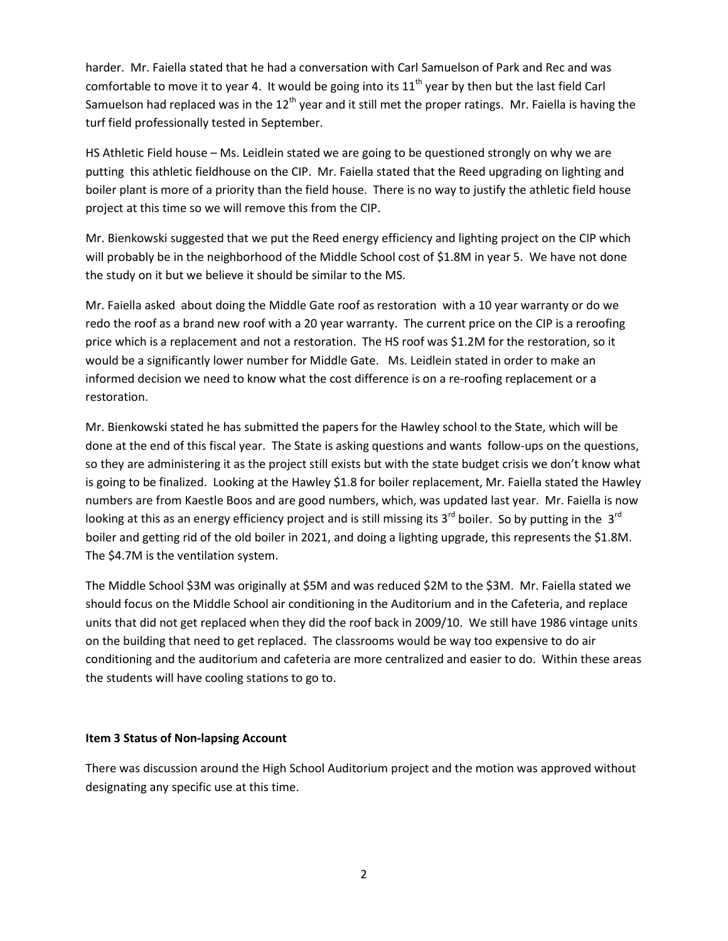harder. Mr. Faiella stated that he had a conversation with Carl Samuelson of Park and Rec and was comfortable to move it to year 4. It would be going into its  $11<sup>th</sup>$  year by then but the last field Carl Samuelson had replaced was in the  $12<sup>th</sup>$  year and it still met the proper ratings. Mr. Faiella is having the turf field professionally tested in September.

HS Athletic Field house – Ms. Leidlein stated we are going to be questioned strongly on why we are putting this athletic fieldhouse on the CIP. Mr. Faiella stated that the Reed upgrading on lighting and boiler plant is more of a priority than the field house. There is no way to justify the athletic field house project at this time so we will remove this from the CIP.

Mr. Bienkowski suggested that we put the Reed energy efficiency and lighting project on the CIP which will probably be in the neighborhood of the Middle School cost of \$1.8M in year 5. We have not done the study on it but we believe it should be similar to the MS.

Mr. Faiella asked about doing the Middle Gate roof as restoration with a 10 year warranty or do we redo the roof as a brand new roof with a 20 year warranty. The current price on the CIP is a reroofing price which is a replacement and not a restoration. The HS roof was \$1.2M for the restoration, so it would be a significantly lower number for Middle Gate. Ms. Leidlein stated in order to make an informed decision we need to know what the cost difference is on a re-roofing replacement or a restoration.

Mr. Bienkowski stated he has submitted the papers for the Hawley school to the State, which will be done at the end of this fiscal year. The State is asking questions and wants follow-ups on the questions, so they are administering it as the project still exists but with the state budget crisis we don't know what is going to be finalized. Looking at the Hawley \$1.8 for boiler replacement, Mr. Faiella stated the Hawley numbers are from Kaestle Boos and are good numbers, which, was updated last year. Mr. Faiella is now looking at this as an energy efficiency project and is still missing its  $3^{rd}$  boiler. So by putting in the  $3^{rd}$ boiler and getting rid of the old boiler in 2021, and doing a lighting upgrade, this represents the \$1.8M. The \$4.7M is the ventilation system.

The Middle School \$3M was originally at \$5M and was reduced \$2M to the \$3M. Mr. Faiella stated we should focus on the Middle School air conditioning in the Auditorium and in the Cafeteria, and replace units that did not get replaced when they did the roof back in 2009/10. We still have 1986 vintage units on the building that need to get replaced. The classrooms would be way too expensive to do air conditioning and the auditorium and cafeteria are more centralized and easier to do. Within these areas the students will have cooling stations to go to.

### **Item 3 Status of Non-lapsing Account**

There was discussion around the High School Auditorium project and the motion was approved without designating any specific use at this time.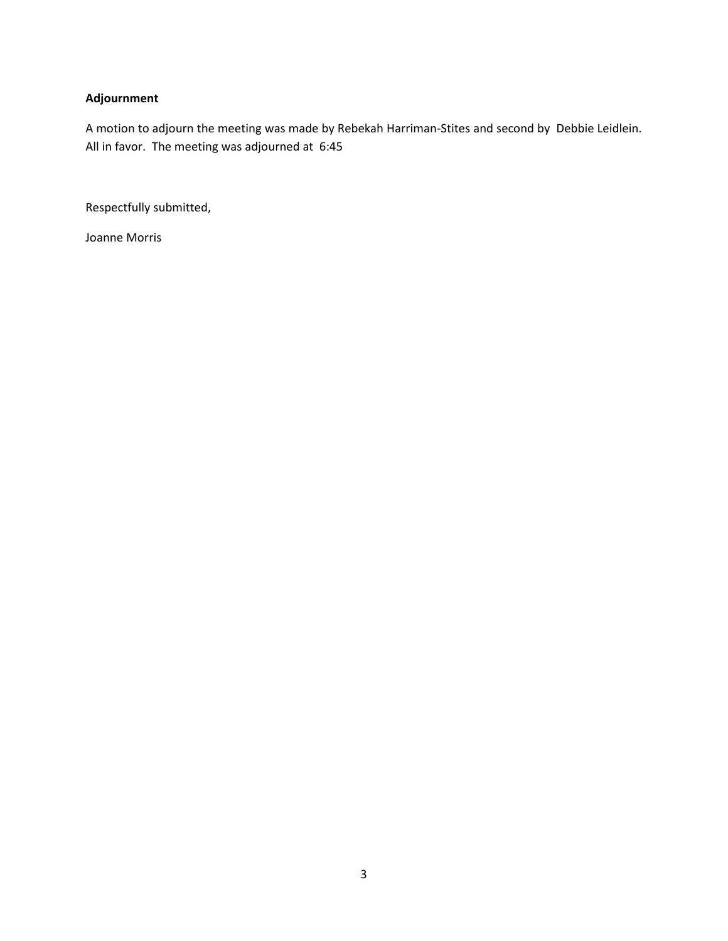# **Adjournment**

A motion to adjourn the meeting was made by Rebekah Harriman-Stites and second by Debbie Leidlein. All in favor. The meeting was adjourned at 6:45

Respectfully submitted,

Joanne Morris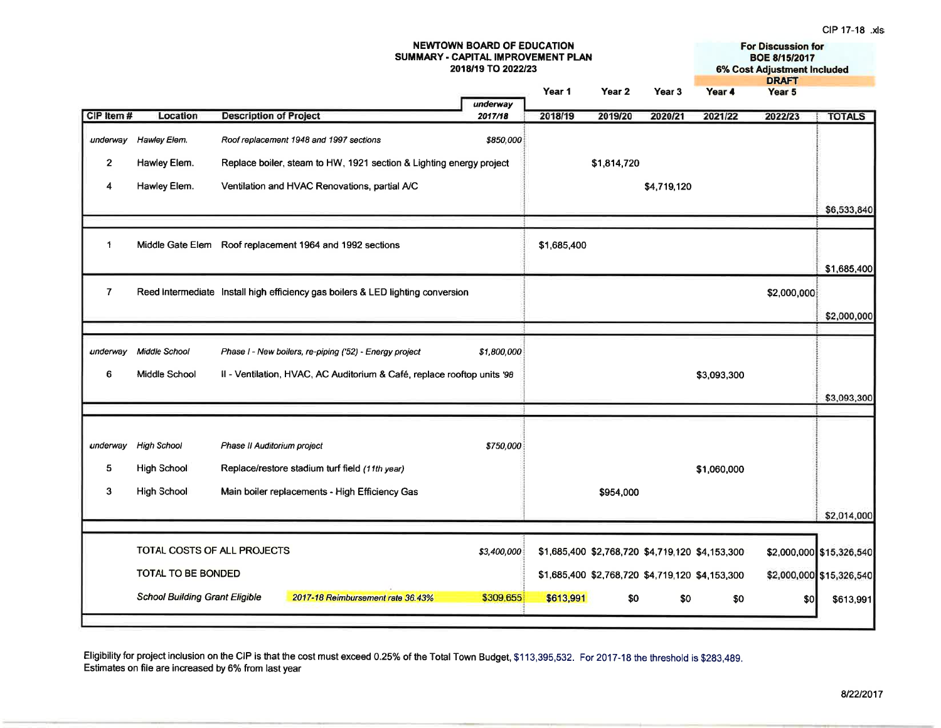#### **NEWTOWN BOARD OF EDUCATION For Discussion for** SUMMARY - CAPITAL IMPROVEMENT PLAN **BOE 8/15/2017** 2018/19 TO 2022/23 **6% Cost Adjustment Included DRAFT** Year 1 Year 2 Year 3 Year 4 Year 5 underway **Description of Project** 2017/18 CIP Item# Location 2018/19 2019/20 2020/21 2021/22 2022/23 **TOTALS** underway Hawley Elem. Roof replacement 1948 and 1997 sections \$850,000  $\overline{2}$ Hawley Elem. Replace boiler, steam to HW, 1921 section & Lighting energy project \$1,814,720  $\overline{4}$ Hawley Elem. Ventilation and HVAC Renovations, partial A/C \$4.719.120 \$6,533,840  $\ddot{\phantom{1}}$ Middle Gate Elem Roof replacement 1964 and 1992 sections \$1,685,400 \$1,685,400  $\overline{7}$ Reed Intermediate Install high efficiency gas boilers & LED lighting conversion \$2,000,000 \$2,000,000 underway Middle School Phase I - New boilers, re-piping ('52) - Energy project \$1,800,000 Middle School Il - Ventilation, HVAC, AC Auditorium & Café, replace rooftop units '98 6 \$3,093,300 \$3,093,300 **High School** Phase II Auditorium project \$750,000 underway 5 **High School** Replace/restore stadium turf field (11th year) \$1,060,000  $\mathbf{3}$ **High School** Main boiler replacements - High Efficiency Gas \$954.000 \$2,014,000 TOTAL COSTS OF ALL PROJECTS \$3,400,000 \$1,685,400 \$2,768,720 \$4,719,120 \$4,153,300 \$2,000,000 \$15,326,540 **TOTAL TO BE BONDED** \$1,685,400 \$2,768,720 \$4,719,120 \$4,153,300 \$2,000,000 \$15,326,540 **School Building Grant Eligible** 2017-18 Reimbursement rate 36.43% \$309,655 \$613.991 \$0 \$0 \$0  $$0$ \$613,991

Eligibility for project inclusion on the CIP is that the cost must exceed 0.25% of the Total Town Budget, \$113,395,532. For 2017-18 the threshold is \$283,489. Estimates on file are increased by 6% from last year